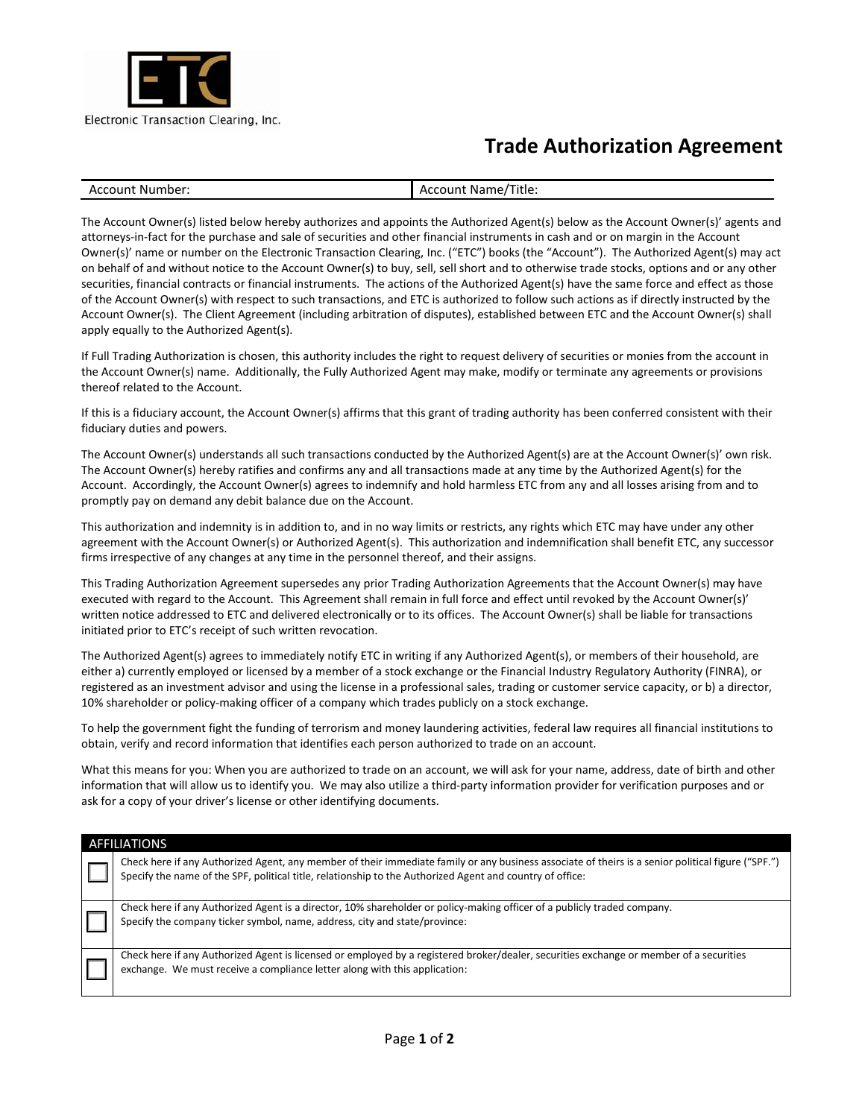

## **Trade Authorization Agreement**

| Accoun+ | Title.       |
|---------|--------------|
| Number: | Account Name |

The Account Owner(s) listed below hereby authorizes and appoints the Authorized Agent(s) below as the Account Owner(s)' agents and attorneys-in-fact for the purchase and sale of securities and other financial instruments in cash and or on margin in the Account Owner(s)' name or number on the Electronic Transaction Clearing, Inc. ("ETC") books (the "Account"). The Authorized Agent(s) may act on behalf of and without notice to the Account Owner(s) to buy, sell, sell short and to otherwise trade stocks, options and or any other securities, financial contracts or financial instruments. The actions of the Authorized Agent(s) have the same force and effect as those of the Account Owner(s) with respect to such transactions, and ETC is authorized to follow such actions as if directly instructed by the Account Owner(s). The Client Agreement (including arbitration of disputes), established between ETC and the Account Owner(s) shall apply equally to the Authorized Agent(s).

If Full Trading Authorization is chosen, this authority includes the right to request delivery of securities or monies from the account in the Account Owner(s) name. Additionally, the Fully Authorized Agent may make, modify or terminate any agreements or provisions thereof related to the Account.

If this is a fiduciary account, the Account Owner(s) affirms that this grant of trading authority has been conferred consistent with their fiduciary duties and powers.

The Account Owner(s) understands all such transactions conducted by the Authorized Agent(s) are at the Account Owner(s)' own risk. The Account Owner(s) hereby ratifies and confirms any and all transactions made at any time by the Authorized Agent(s) for the Account. Accordingly, the Account Owner(s) agrees to indemnify and hold harmless ETC from any and all losses arising from and to promptly pay on demand any debit balance due on the Account.

This authorization and indemnity is in addition to, and in no way limits or restricts, any rights which ETC may have under any other agreement with the Account Owner(s) or Authorized Agent(s). This authorization and indemnification shall benefit ETC, any successor firms irrespective of any changes at any time in the personnel thereof, and their assigns.

This Trading Authorization Agreement supersedes any prior Trading Authorization Agreements that the Account Owner(s) may have executed with regard to the Account. This Agreement shall remain in full force and effect until revoked by the Account Owner(s)' written notice addressed to ETC and delivered electronically or to its offices. The Account Owner(s) shall be liable for transactions initiated prior to ETC's receipt of such written revocation.

The Authorized Agent(s) agrees to immediately notify ETC in writing if any Authorized Agent(s), or members of their household, are either a) currently employed or licensed by a member of a stock exchange or the Financial Industry Regulatory Authority (FINRA), or registered as an investment advisor and using the license in a professional sales, trading or customer service capacity, or b) a director, 10% shareholder or policy-making officer of a company which trades publicly on a stock exchange.

To help the government fight the funding of terrorism and money laundering activities, federal law requires all financial institutions to obtain, verify and record information that identifies each person authorized to trade on an account.

What this means for you: When you are authorized to trade on an account, we will ask for your name, address, date of birth and other information that will allow us to identify you. We may also utilize a third-party information provider for verification purposes and or ask for a copy of your driver's license or other identifying documents.

| <b>AFFILIATIONS</b> |                                                                                                                                                                                                                                                                 |  |  |  |  |  |
|---------------------|-----------------------------------------------------------------------------------------------------------------------------------------------------------------------------------------------------------------------------------------------------------------|--|--|--|--|--|
|                     | Check here if any Authorized Agent, any member of their immediate family or any business associate of theirs is a senior political figure ("SPF.")<br>Specify the name of the SPF, political title, relationship to the Authorized Agent and country of office: |  |  |  |  |  |
|                     | Check here if any Authorized Agent is a director, 10% shareholder or policy-making officer of a publicly traded company.<br>Specify the company ticker symbol, name, address, city and state/province:                                                          |  |  |  |  |  |
|                     | Check here if any Authorized Agent is licensed or employed by a registered broker/dealer, securities exchange or member of a securities<br>exchange. We must receive a compliance letter along with this application:                                           |  |  |  |  |  |